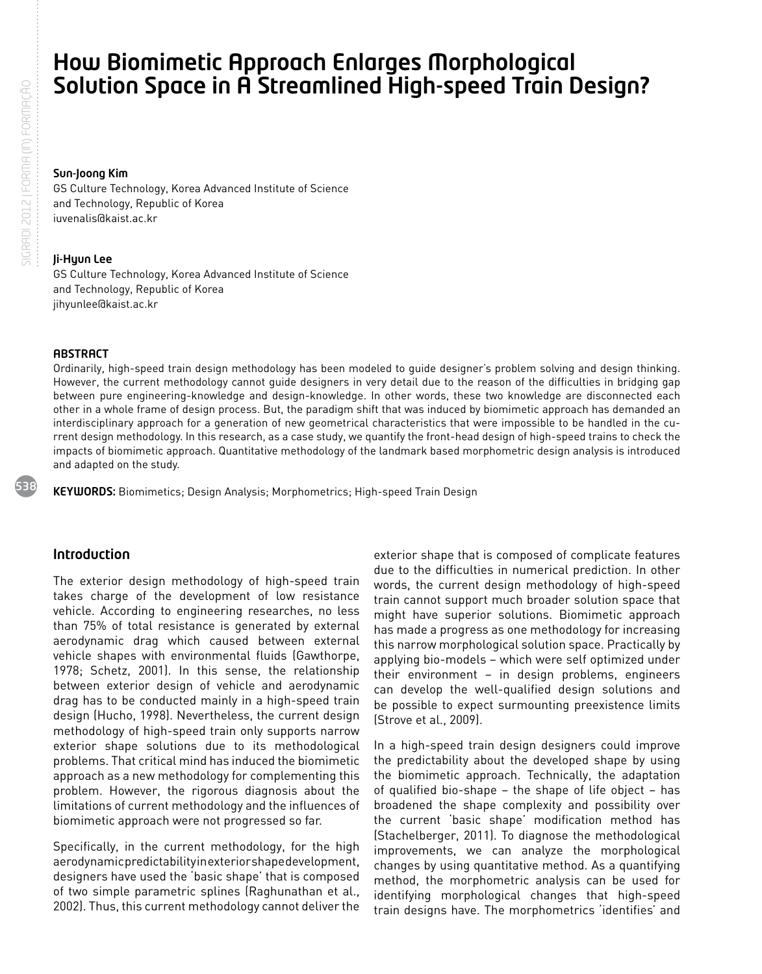# How Biomimetic Approach Enlarges Morphological Solution Space in A Streamlined High-speed Train Design?

### Sun-Joong Kim

GS Culture Technology, Korea Advanced Institute of Science and Technology, Republic of Korea iuvenalis@kaist.ac.kr

### Ji-Hyun Lee

GS Culture Technology, Korea Advanced Institute of Science and Technology, Republic of Korea jihyunlee@kaist.ac.kr

### **ABSTRACT**

Ordinarily, high-speed train design methodology has been modeled to guide designer's problem solving and design thinking. However, the current methodology cannot guide designers in very detail due to the reason of the difficulties in bridging gap between pure engineering-knowledge and design-knowledge. In other words, these two knowledge are disconnected each other in a whole frame of design process. But, the paradigm shift that was induced by biomimetic approach has demanded an interdisciplinary approach for a generation of new geometrical characteristics that were impossible to be handled in the current design methodology. In this research, as a case study, we quantify the front-head design of high-speed trains to check the impacts of biomimetic approach. Quantitative methodology of the landmark based morphometric design analysis is introduced and adapted on the study.

KEYWORDS: Biomimetics; Design Analysis; Morphometrics; High-speed Train Design

# Introduction

The exterior design methodology of high-speed train takes charge of the development of low resistance vehicle. According to engineering researches, no less than 75% of total resistance is generated by external aerodynamic drag which caused between external vehicle shapes with environmental fluids (Gawthorpe, 1978; Schetz, 2001). In this sense, the relationship between exterior design of vehicle and aerodynamic drag has to be conducted mainly in a high-speed train design (Hucho, 1998). Nevertheless, the current design methodology of high-speed train only supports narrow exterior shape solutions due to its methodological problems. That critical mind has induced the biomimetic approach as a new methodology for complementing this problem. However, the rigorous diagnosis about the limitations of current methodology and the influences of biomimetic approach were not progressed so far.

Specifically, in the current methodology, for the high aerodynamic predictability in exterior shape development, designers have used the 'basic shape' that is composed of two simple parametric splines (Raghunathan et al., 2002). Thus, this current methodology cannot deliver the exterior shape that is composed of complicate features due to the difficulties in numerical prediction. In other words, the current design methodology of high-speed train cannot support much broader solution space that might have superior solutions. Biomimetic approach has made a progress as one methodology for increasing this narrow morphological solution space. Practically by applying bio-models – which were self optimized under their environment – in design problems, engineers can develop the well-qualified design solutions and be possible to expect surmounting preexistence limits (Strove et al., 2009).

In a high-speed train design designers could improve the predictability about the developed shape by using the biomimetic approach. Technically, the adaptation of qualified bio-shape – the shape of life object – has broadened the shape complexity and possibility over the current 'basic shape' modification method has (Stachelberger, 2011). To diagnose the methodological improvements, we can analyze the morphological changes by using quantitative method. As a quantifying method, the morphometric analysis can be used for identifying morphological changes that high-speed train designs have. The morphometrics 'identifies' and

538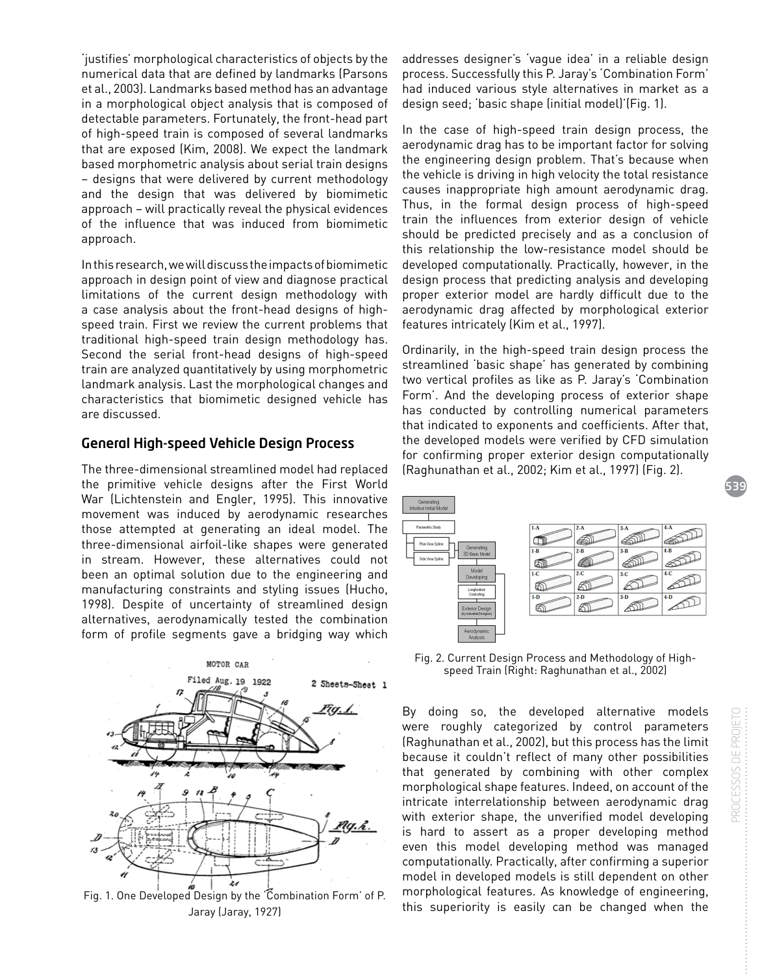'justifies' morphological characteristics of objects by the numerical data that are defined by landmarks (Parsons et al., 2003). Landmarks based method has an advantage in a morphological object analysis that is composed of detectable parameters. Fortunately, the front-head part of high-speed train is composed of several landmarks that are exposed (Kim, 2008). We expect the landmark based morphometric analysis about serial train designs – designs that were delivered by current methodology and the design that was delivered by biomimetic approach – will practically reveal the physical evidences of the influence that was induced from biomimetic approach.

In this research, we will discuss the impacts of biomimetic approach in design point of view and diagnose practical limitations of the current design methodology with a case analysis about the front-head designs of highspeed train. First we review the current problems that traditional high-speed train design methodology has. Second the serial front-head designs of high-speed train are analyzed quantitatively by using morphometric landmark analysis. Last the morphological changes and characteristics that biomimetic designed vehicle has are discussed.

# General High-speed Vehicle Design Process

The three-dimensional streamlined model had replaced the primitive vehicle designs after the First World War (Lichtenstein and Engler, 1995). This innovative movement was induced by aerodynamic researches those attempted at generating an ideal model. The three-dimensional airfoil-like shapes were generated in stream. However, these alternatives could not been an optimal solution due to the engineering and manufacturing constraints and styling issues (Hucho, 1998). Despite of uncertainty of streamlined design alternatives, aerodynamically tested the combination form of profile segments gave a bridging way which



Fig. 1. One Developed Design by the 'Combination Form' of P. Jaray (Jaray, 1927)

addresses designer's 'vague idea' in a reliable design process. Successfully this P. Jaray's 'Combination Form' had induced various style alternatives in market as a design seed; 'basic shape (initial model)'(Fig. 1).

In the case of high-speed train design process, the aerodynamic drag has to be important factor for solving the engineering design problem. That's because when the vehicle is driving in high velocity the total resistance causes inappropriate high amount aerodynamic drag. Thus, in the formal design process of high-speed train the influences from exterior design of vehicle should be predicted precisely and as a conclusion of this relationship the low-resistance model should be developed computationally. Practically, however, in the design process that predicting analysis and developing proper exterior model are hardly difficult due to the aerodynamic drag affected by morphological exterior features intricately (Kim et al., 1997).

Ordinarily, in the high-speed train design process the streamlined 'basic shape' has generated by combining two vertical profiles as like as P. Jaray's 'Combination Form'. And the developing process of exterior shape has conducted by controlling numerical parameters that indicated to exponents and coefficients. After that, the developed models were verified by CFD simulation for confirming proper exterior design computationally (Raghunathan et al., 2002; Kim et al., 1997) (Fig. 2).



Fig. 2. Current Design Process and Methodology of Highspeed Train (Right: Raghunathan et al., 2002)

By doing so, the developed alternative models were roughly categorized by control parameters (Raghunathan et al., 2002), but this process has the limit because it couldn't reflect of many other possibilities that generated by combining with other complex morphological shape features. Indeed, on account of the intricate interrelationship between aerodynamic drag with exterior shape, the unverified model developing is hard to assert as a proper developing method even this model developing method was managed computationally. Practically, after confirming a superior model in developed models is still dependent on other morphological features. As knowledge of engineering, this superiority is easily can be changed when the

539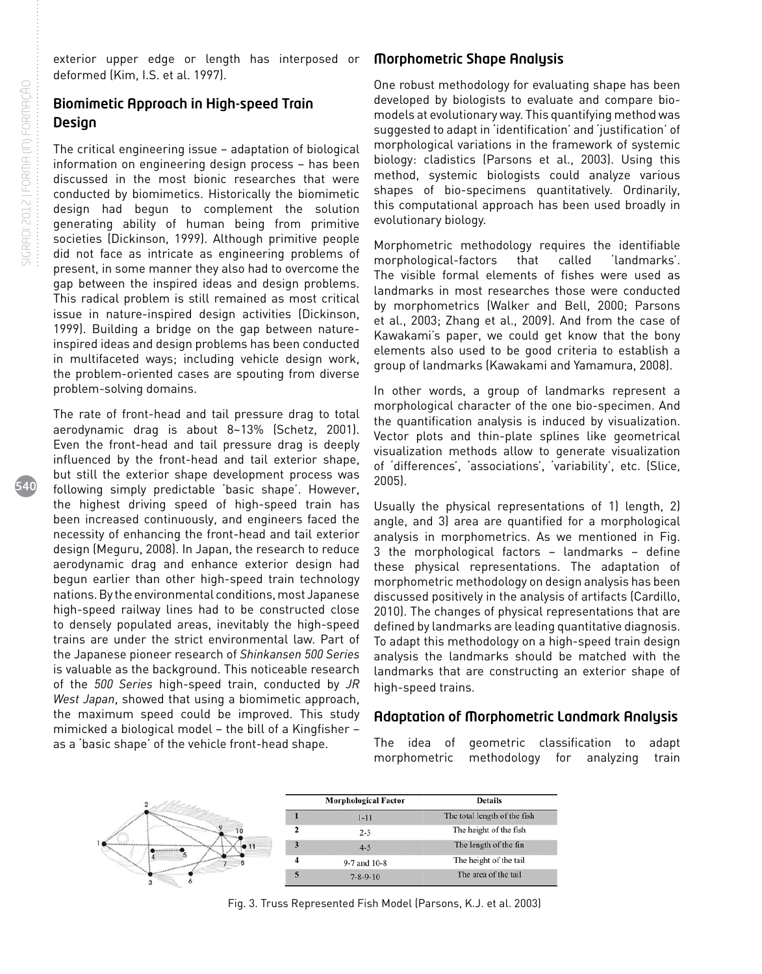540

exterior upper edge or length has interposed or deformed (Kim, I.S. et al. 1997).

# Biomimetic Approach in High-speed Train **Design**

The critical engineering issue – adaptation of biological information on engineering design process – has been discussed in the most bionic researches that were conducted by biomimetics. Historically the biomimetic design had begun to complement the solution generating ability of human being from primitive societies (Dickinson, 1999). Although primitive people did not face as intricate as engineering problems of present, in some manner they also had to overcome the gap between the inspired ideas and design problems. This radical problem is still remained as most critical issue in nature-inspired design activities (Dickinson, 1999). Building a bridge on the gap between natureinspired ideas and design problems has been conducted in multifaceted ways; including vehicle design work, the problem-oriented cases are spouting from diverse problem-solving domains.

The rate of front-head and tail pressure drag to total aerodynamic drag is about 8~13% (Schetz, 2001). Even the front-head and tail pressure drag is deeply influenced by the front-head and tail exterior shape, but still the exterior shape development process was following simply predictable 'basic shape'. However, the highest driving speed of high-speed train has been increased continuously, and engineers faced the necessity of enhancing the front-head and tail exterior design (Meguru, 2008). In Japan, the research to reduce aerodynamic drag and enhance exterior design had begun earlier than other high-speed train technology nations. By the environmental conditions, most Japanese high-speed railway lines had to be constructed close to densely populated areas, inevitably the high-speed trains are under the strict environmental law. Part of the Japanese pioneer research of *Shinkansen 500 Series* is valuable as the background. This noticeable research of the *500 Series* high-speed train, conducted by *JR West Japan*, showed that using a biomimetic approach, the maximum speed could be improved. This study mimicked a biological model – the bill of a Kingfisher – as a 'basic shape' of the vehicle front-head shape.

# Morphometric Shape Analysis

One robust methodology for evaluating shape has been developed by biologists to evaluate and compare biomodels at evolutionary way. This quantifying method was suggested to adapt in 'identification' and 'justification' of morphological variations in the framework of systemic biology: cladistics (Parsons et al., 2003). Using this method, systemic biologists could analyze various shapes of bio-specimens quantitatively. Ordinarily, this computational approach has been used broadly in evolutionary biology.

Morphometric methodology requires the identifiable morphological-factors that called 'landmarks'. The visible formal elements of fishes were used as landmarks in most researches those were conducted by morphometrics (Walker and Bell, 2000; Parsons et al., 2003; Zhang et al., 2009). And from the case of Kawakami's paper, we could get know that the bony elements also used to be good criteria to establish a group of landmarks (Kawakami and Yamamura, 2008).

In other words, a group of landmarks represent a morphological character of the one bio-specimen. And the quantification analysis is induced by visualization. Vector plots and thin-plate splines like geometrical visualization methods allow to generate visualization of 'differences', 'associations', 'variability', etc. (Slice, 2005).

Usually the physical representations of 1) length, 2) angle, and 3) area are quantified for a morphological analysis in morphometrics. As we mentioned in Fig. 3 the morphological factors – landmarks – define these physical representations. The adaptation of morphometric methodology on design analysis has been discussed positively in the analysis of artifacts (Cardillo, 2010). The changes of physical representations that are defined by landmarks are leading quantitative diagnosis. To adapt this methodology on a high-speed train design analysis the landmarks should be matched with the landmarks that are constructing an exterior shape of high-speed trains.

# Adaptation of Morphometric Landmark Analysis

The idea of geometric classification to adapt morphometric methodology for analyzing train



Fig. 3. Truss Represented Fish Model (Parsons, K.J. et al. 2003)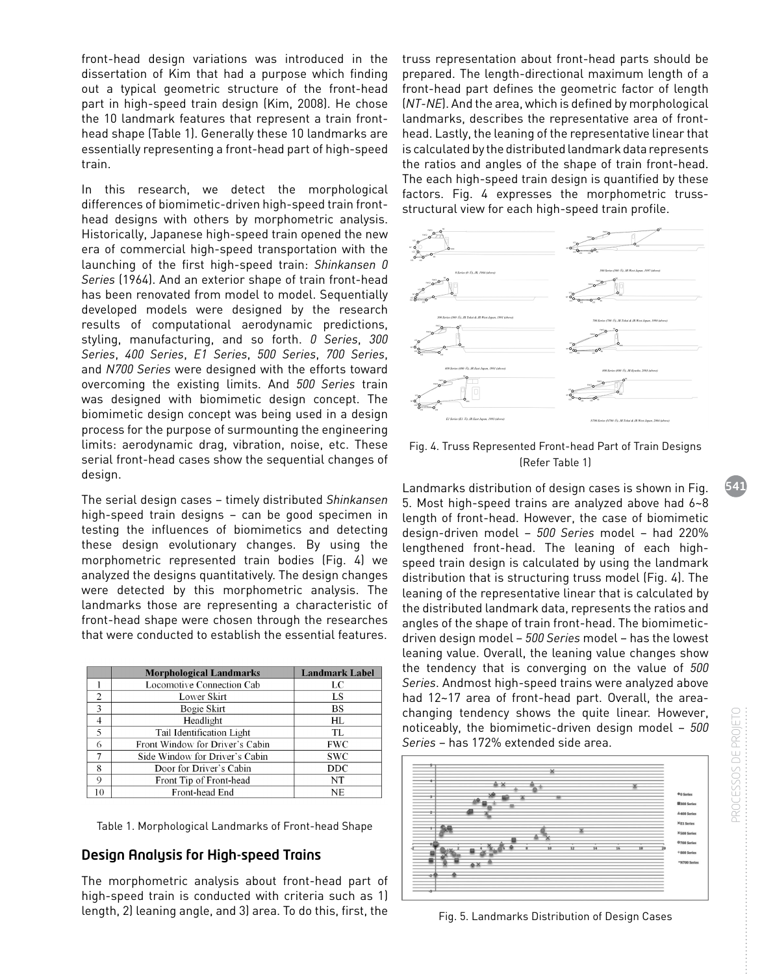front-head design variations was introduced in the dissertation of Kim that had a purpose which finding out a typical geometric structure of the front-head part in high-speed train design (Kim, 2008). He chose the 10 landmark features that represent a train fronthead shape (Table 1). Generally these 10 landmarks are essentially representing a front-head part of high-speed train.

In this research, we detect the morphological differences of biomimetic-driven high-speed train fronthead designs with others by morphometric analysis. Historically, Japanese high-speed train opened the new era of commercial high-speed transportation with the launching of the first high-speed train: *Shinkansen 0 Series* (1964). And an exterior shape of train front-head has been renovated from model to model. Sequentially developed models were designed by the research results of computational aerodynamic predictions, styling, manufacturing, and so forth. *0 Series*, *300 Series*, *400 Series*, *E1 Series*, *500 Series*, *700 Series*, and *N700 Series* were designed with the efforts toward overcoming the existing limits. And *500 Series* train was designed with biomimetic design concept. The biomimetic design concept was being used in a design process for the purpose of surmounting the engineering limits: aerodynamic drag, vibration, noise, etc. These serial front-head cases show the sequential changes of design.

The serial design cases – timely distributed *Shinkansen* high-speed train designs – can be good specimen in testing the influences of biomimetics and detecting these design evolutionary changes. By using the morphometric represented train bodies (Fig. 4) we analyzed the designs quantitatively. The design changes were detected by this morphometric analysis. The landmarks those are representing a characteristic of front-head shape were chosen through the researches that were conducted to establish the essential features.

|                | <b>Morphological Landmarks</b>  | <b>Landmark Label</b> |
|----------------|---------------------------------|-----------------------|
|                | Locomotive Connection Cab       | LC                    |
| $\overline{c}$ | Lower Skirt                     | LS                    |
| $\mathbf{3}$   | Bogie Skirt                     | BS                    |
|                | Headlight                       | HL                    |
| 5              | Tail Identification Light       | TL.                   |
| 6              | Front Window for Driver's Cabin | <b>FWC</b>            |
|                | Side Window for Driver's Cabin  | <b>SWC</b>            |
| 8              | Door for Driver's Cabin         | <b>DDC</b>            |
| $\Omega$       | Front Tip of Front-head         | NT                    |
| 10             | Front-head End                  | <b>NE</b>             |

Table 1. Morphological Landmarks of Front-head Shape

# Design Analysis for High-speed Trains

The morphometric analysis about front-head part of high-speed train is conducted with criteria such as 1) length, 2) leaning angle, and 3) area. To do this, first, the

truss representation about front-head parts should be prepared. The length-directional maximum length of a front-head part defines the geometric factor of length (*NT-NE*). And the area, which is defined by morphological landmarks, describes the representative area of fronthead. Lastly, the leaning of the representative linear that is calculated by the distributed landmark data represents the ratios and angles of the shape of train front-head. The each high-speed train design is quantified by these factors. Fig. 4 expresses the morphometric trussstructural view for each high-speed train profile.



Fig. 4. Truss Represented Front-head Part of Train Designs (Refer Table 1)

Landmarks distribution of design cases is shown in Fig. 5. Most high-speed trains are analyzed above had 6~8 length of front-head. However, the case of biomimetic design-driven model – *500 Series* model – had 220% lengthened front-head. The leaning of each highspeed train design is calculated by using the landmark distribution that is structuring truss model (Fig. 4). The leaning of the representative linear that is calculated by the distributed landmark data, represents the ratios and angles of the shape of train front-head. The biomimeticdriven design model – *500 Series* model – has the lowest leaning value. Overall, the leaning value changes show the tendency that is converging on the value of *500 Series*. Andmost high-speed trains were analyzed above had 12~17 area of front-head part. Overall, the areachanging tendency shows the quite linear. However, noticeably, the biomimetic-driven design model – *500 Series* – has 172% extended side area.



Fig. 5. Landmarks Distribution of Design Cases